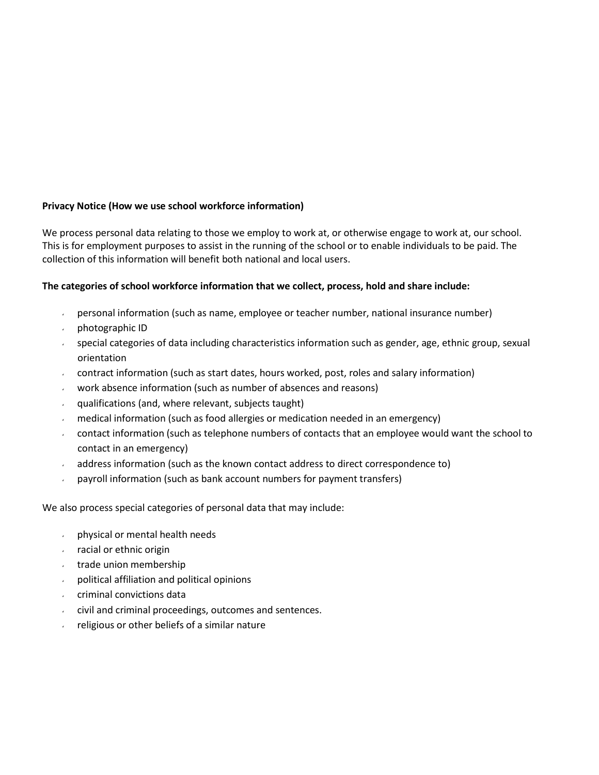# **Privacy Notice (How we use school workforce information)**

We process personal data relating to those we employ to work at, or otherwise engage to work at, our school. This is for employment purposes to assist in the running of the school or to enable individuals to be paid. The collection of this information will benefit both national and local users.

# **The categories of school workforce information that we collect, process, hold and share include:**

- $\rightarrow$  personal information (such as name, employee or teacher number, national insurance number)
- photographic ID
- special categories of data including characteristics information such as gender, age, ethnic group, sexual orientation
- contract information (such as start dates, hours worked, post, roles and salary information)
- work absence information (such as number of absences and reasons)  $\mathbf{v}$
- qualifications (and, where relevant, subjects taught)  $\mathbf{v} = \mathbf{v}$
- $\mathbf{r}$ medical information (such as food allergies or medication needed in an emergency)
- contact information (such as telephone numbers of contacts that an employee would want the school to contact in an emergency)
- address information (such as the known contact address to direct correspondence to)
- payroll information (such as bank account numbers for payment transfers)

We also process special categories of personal data that may include:

- physical or mental health needs
- racial or ethnic origin
- trade union membership
- political affiliation and political opinions  $\mathbf{v}^{(i)}$  .
- criminal convictions data
- civil and criminal proceedings, outcomes and sentences.
- religious or other beliefs of a similar nature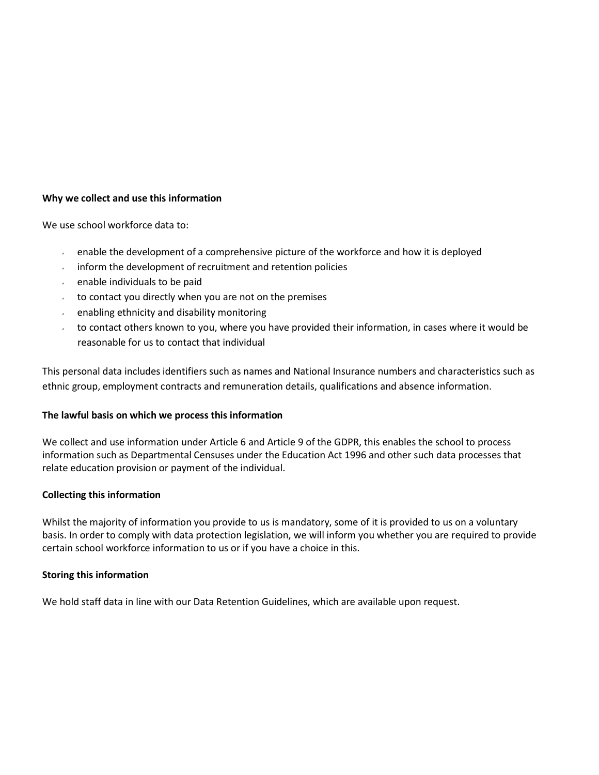## **Why we collect and use this information**

We use school workforce data to:

- $\mathbf{z}^{(i)}$ enable the development of a comprehensive picture of the workforce and how it is deployed
- inform the development of recruitment and retention policies  $\omega$  .
- enable individuals to be paid  $\mathbf{v}$
- to contact you directly when you are not on the premises
- enabling ethnicity and disability monitoring
- to contact others known to you, where you have provided their information, in cases where it would be  $\mathbf{v}^{(i)}$ reasonable for us to contact that individual

This personal data includes identifiers such as names and National Insurance numbers and characteristics such as ethnic group, employment contracts and remuneration details, qualifications and absence information.

#### **The lawful basis on which we process this information**

We collect and use information under Article 6 and Article 9 of the GDPR, this enables the school to process information such as Departmental Censuses under the Education Act 1996 and other such data processes that relate education provision or payment of the individual.

#### **Collecting this information**

Whilst the majority of information you provide to us is mandatory, some of it is provided to us on a voluntary basis. In order to comply with data protection legislation, we will inform you whether you are required to provide certain school workforce information to us or if you have a choice in this.

#### **Storing this information**

We hold staff data in line with our Data Retention Guidelines, which are available upon request.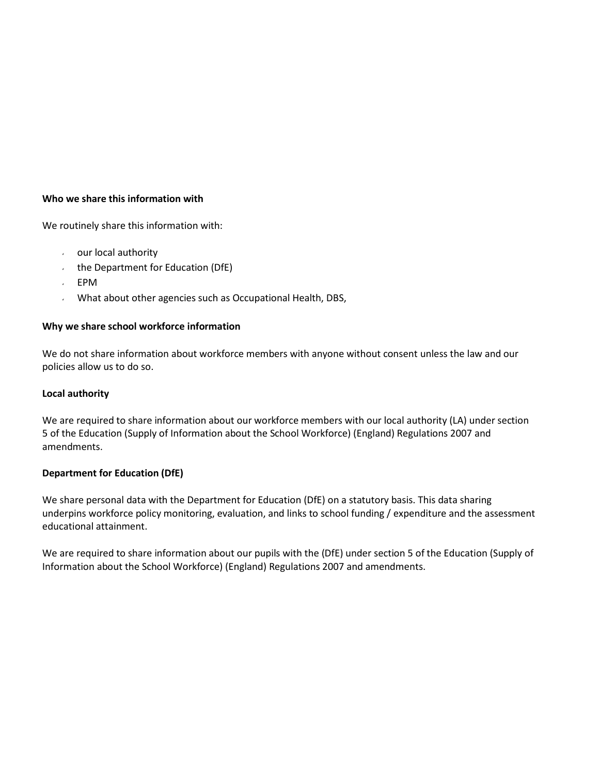## **Who we share this information with**

We routinely share this information with:

- our local authority
- the Department for Education (DfE)
- EPM
- What about other agencies such as Occupational Health, DBS,  $\mathbf{z}$

#### **Why we share school workforce information**

We do not share information about workforce members with anyone without consent unless the law and our policies allow us to do so.

### **Local authority**

We are required to share information about our workforce members with our local authority (LA) under section 5 of the Education (Supply of Information about the School Workforce) (England) Regulations 2007 and amendments.

## **Department for Education (DfE)**

We share personal data with the Department for Education (DfE) on a statutory basis. This data sharing underpins workforce policy monitoring, evaluation, and links to school funding / expenditure and the assessment educational attainment.

We are required to share information about our pupils with the (DfE) under section 5 of the Education (Supply of Information about the School Workforce) (England) Regulations 2007 and amendments.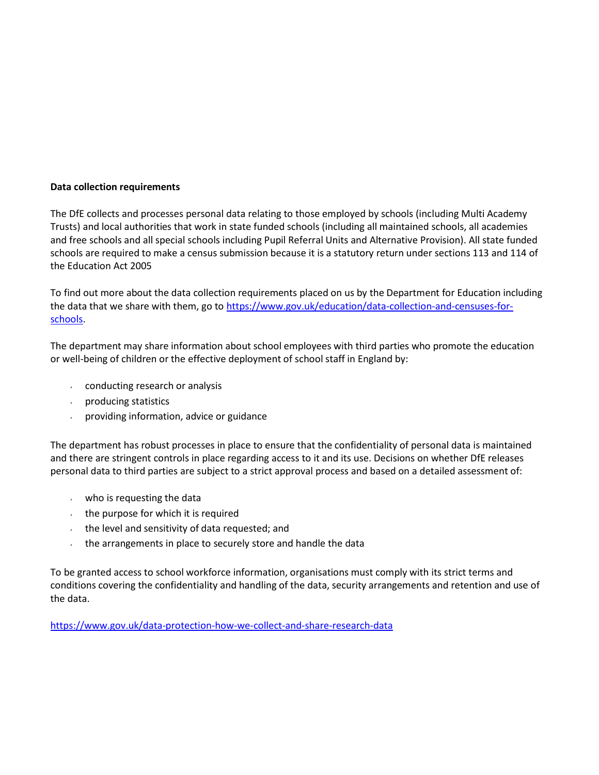### **Data collection requirements**

The DfE collects and processes personal data relating to those employed by schools (including Multi Academy Trusts) and local authorities that work in state funded schools (including all maintained schools, all academies and free schools and all special schools including Pupil Referral Units and Alternative Provision). All state funded schools are required to make a census submission because it is a statutory return under sections 113 and 114 of the Education Act 2005

To find out more about the data collection requirements placed on us by the Department for Education including the data that we share with them, go to [https://www.gov.uk/education/data-collection-and-censuses-for](https://www.gov.uk/education/data-collection-and-censuses-for-schools)[schools.](https://www.gov.uk/education/data-collection-and-censuses-for-schools)

The department may share information about school employees with third parties who promote the education or well-being of children or the effective deployment of school staff in England by:

- conducting research or analysis
- producing statistics
- providing information, advice or guidance

The department has robust processes in place to ensure that the confidentiality of personal data is maintained and there are stringent controls in place regarding access to it and its use. Decisions on whether DfE releases personal data to third parties are subject to a strict approval process and based on a detailed assessment of:

- who is requesting the data
- $\cdot$  the purpose for which it is required
- $\cdot$  the level and sensitivity of data requested; and
- the arrangements in place to securely store and handle the data

To be granted access to school workforce information, organisations must comply with its strict terms and conditions covering the confidentiality and handling of the data, security arrangements and retention and use of the data.

<https://www.gov.uk/data-protection-how-we-collect-and-share-research-data>